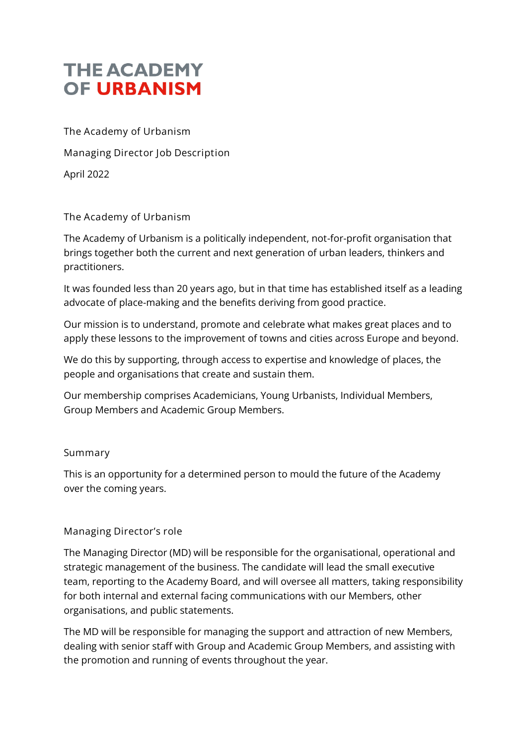# **THE ACADEMY** OF URBANISM

**The Academy of Urbanism Managing Director Job Description** April 2022

# **The Academy of Urbanism**

The Academy of Urbanism is a politically independent, not-for-profit organisation that brings together both the current and next generation of urban leaders, thinkers and practitioners.

It was founded less than 20 years ago, but in that time has established itself as a leading advocate of place-making and the benefits deriving from good practice.

Our mission is to understand, promote and celebrate what makes great places and to apply these lessons to the improvement of towns and cities across Europe and beyond.

We do this by supporting, through access to expertise and knowledge of places, the people and organisations that create and sustain them.

Our membership comprises Academicians, Young Urbanists, Individual Members, Group Members and Academic Group Members.

# **Summary**

This is an opportunity for a determined person to mould the future of the Academy over the coming years.

# **Managing Director's role**

The Managing Director (MD) will be responsible for the organisational, operational and strategic management of the business. The candidate will lead the small executive team, reporting to the Academy Board, and will oversee all matters, taking responsibility for both internal and external facing communications with our Members, other organisations, and public statements.

The MD will be responsible for managing the support and attraction of new Members, dealing with senior staff with Group and Academic Group Members, and assisting with the promotion and running of events throughout the year.